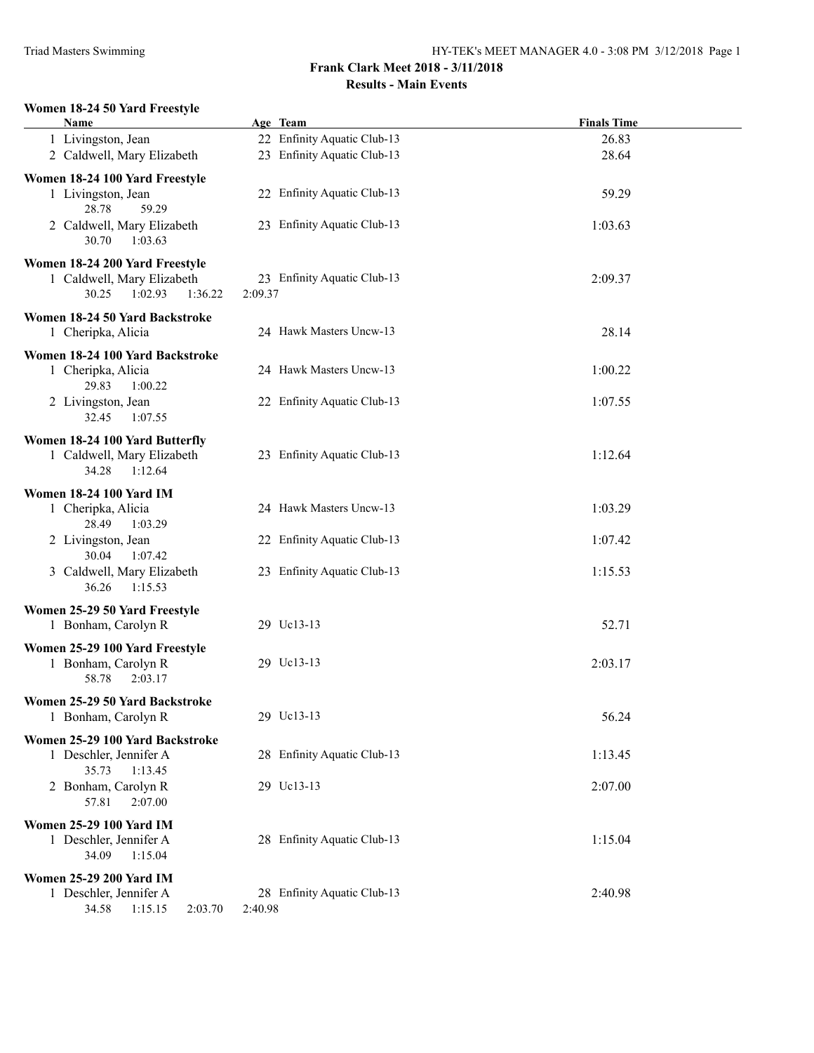### **Women 18-24 50 Yard Freestyle**

| Name                                                                                        | Age Team                               | <b>Finals Time</b> |
|---------------------------------------------------------------------------------------------|----------------------------------------|--------------------|
| 1 Livingston, Jean                                                                          | 22 Enfinity Aquatic Club-13            | 26.83              |
| 2 Caldwell, Mary Elizabeth                                                                  | 23 Enfinity Aquatic Club-13            | 28.64              |
| Women 18-24 100 Yard Freestyle                                                              |                                        |                    |
| 1 Livingston, Jean<br>28.78<br>59.29                                                        | 22 Enfinity Aquatic Club-13            | 59.29              |
| 2 Caldwell, Mary Elizabeth<br>30.70<br>1:03.63                                              | 23 Enfinity Aquatic Club-13            | 1:03.63            |
| Women 18-24 200 Yard Freestyle<br>1 Caldwell, Mary Elizabeth<br>30.25<br>1:02.93<br>1:36.22 | 23 Enfinity Aquatic Club-13<br>2:09.37 | 2:09.37            |
| Women 18-24 50 Yard Backstroke<br>1 Cheripka, Alicia                                        | 24 Hawk Masters Uncw-13                | 28.14              |
| Women 18-24 100 Yard Backstroke                                                             |                                        |                    |
| 1 Cheripka, Alicia<br>29.83<br>1:00.22                                                      | 24 Hawk Masters Uncw-13                | 1:00.22            |
| 2 Livingston, Jean<br>32.45<br>1:07.55                                                      | 22 Enfinity Aquatic Club-13            | 1:07.55            |
| Women 18-24 100 Yard Butterfly                                                              |                                        |                    |
| 1 Caldwell, Mary Elizabeth<br>1:12.64<br>34.28                                              | 23 Enfinity Aquatic Club-13            | 1:12.64            |
| <b>Women 18-24 100 Yard IM</b>                                                              |                                        |                    |
| 1 Cheripka, Alicia<br>28.49<br>1:03.29                                                      | 24 Hawk Masters Uncw-13                | 1:03.29            |
| 2 Livingston, Jean<br>30.04<br>1:07.42                                                      | 22 Enfinity Aquatic Club-13            | 1:07.42            |
| 3 Caldwell, Mary Elizabeth<br>36.26<br>1:15.53                                              | 23 Enfinity Aquatic Club-13            | 1:15.53            |
| Women 25-29 50 Yard Freestyle                                                               |                                        |                    |
| 1 Bonham, Carolyn R                                                                         | 29 Uc13-13                             | 52.71              |
| Women 25-29 100 Yard Freestyle                                                              |                                        |                    |
| 1 Bonham, Carolyn R<br>2:03.17<br>58.78                                                     | 29 Uc13-13                             | 2:03.17            |
| Women 25-29 50 Yard Backstroke                                                              |                                        |                    |
| 1 Bonham, Carolyn R                                                                         | 29 Uc13-13                             | 56.24              |
| Women 25-29 100 Yard Backstroke                                                             |                                        |                    |
| 1 Deschler, Jennifer A<br>35.73<br>1:13.45                                                  | 28 Enfinity Aquatic Club-13            | 1:13.45            |
| 2 Bonham, Carolyn R<br>57.81<br>2:07.00                                                     | 29 Uc13-13                             | 2:07.00            |
| <b>Women 25-29 100 Yard IM</b>                                                              |                                        |                    |
| 1 Deschler, Jennifer A<br>34.09<br>1:15.04                                                  | 28 Enfinity Aquatic Club-13            | 1:15.04            |
| <b>Women 25-29 200 Yard IM</b>                                                              |                                        |                    |
| 1 Deschler, Jennifer A<br>34.58<br>1:15.15<br>2:03.70                                       | 28 Enfinity Aquatic Club-13<br>2:40.98 | 2:40.98            |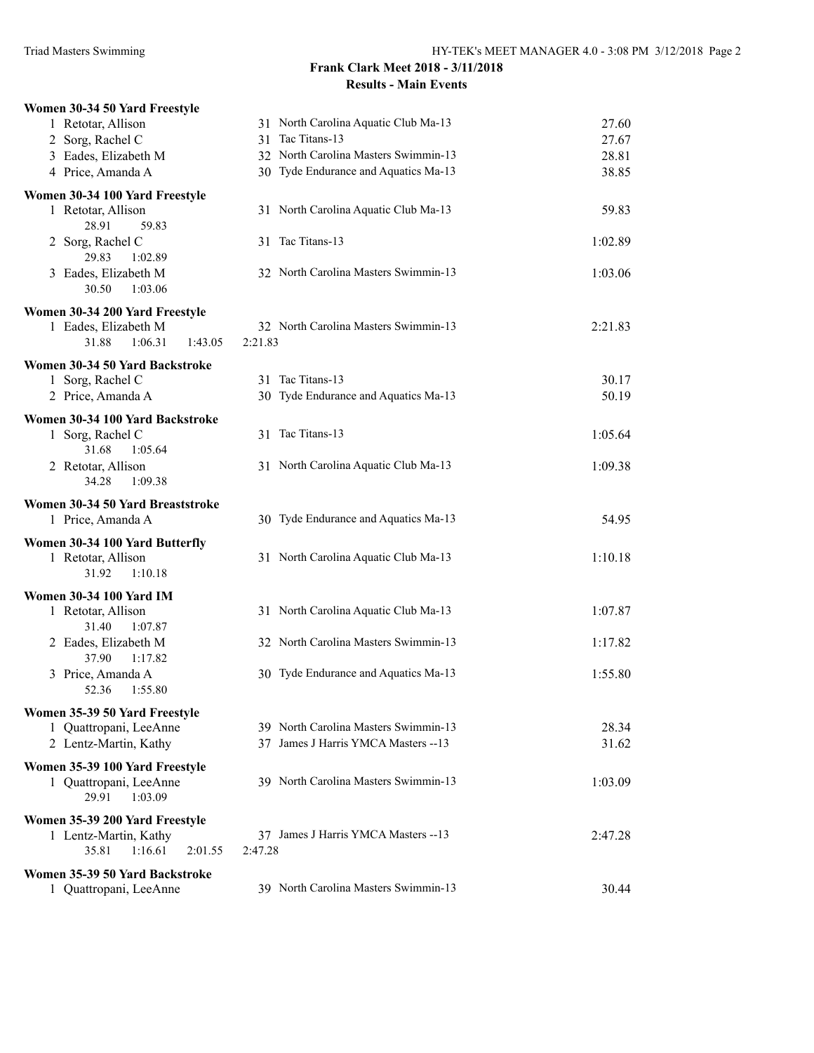| Women 30-34 50 Yard Freestyle          |                                        |         |
|----------------------------------------|----------------------------------------|---------|
| 1 Retotar, Allison                     | 31 North Carolina Aquatic Club Ma-13   | 27.60   |
| 2 Sorg, Rachel C                       | Tac Titans-13<br>31                    | 27.67   |
| 3 Eades, Elizabeth M                   | 32 North Carolina Masters Swimmin-13   | 28.81   |
| 4 Price, Amanda A                      | 30 Tyde Endurance and Aquatics Ma-13   | 38.85   |
| Women 30-34 100 Yard Freestyle         |                                        |         |
| 1 Retotar, Allison                     | 31 North Carolina Aquatic Club Ma-13   | 59.83   |
| 28.91<br>59.83                         |                                        |         |
| 2 Sorg, Rachel C                       | 31 Tac Titans-13                       | 1:02.89 |
| 29.83<br>1:02.89                       |                                        |         |
| 3 Eades, Elizabeth M                   | 32 North Carolina Masters Swimmin-13   | 1:03.06 |
| 30.50<br>1:03.06                       |                                        |         |
| Women 30-34 200 Yard Freestyle         |                                        |         |
| 1 Eades, Elizabeth M                   | 32 North Carolina Masters Swimmin-13   | 2:21.83 |
| 31.88<br>1:06.31<br>1:43.05            | 2:21.83                                |         |
| Women 30-34 50 Yard Backstroke         |                                        |         |
| 1 Sorg, Rachel C                       | 31 Tac Titans-13                       | 30.17   |
| 2 Price, Amanda A                      | 30 Tyde Endurance and Aquatics Ma-13   | 50.19   |
|                                        |                                        |         |
| Women 30-34 100 Yard Backstroke        | 31 Tac Titans-13                       |         |
| 1 Sorg, Rachel C<br>31.68<br>1:05.64   |                                        | 1:05.64 |
|                                        | 31 North Carolina Aquatic Club Ma-13   | 1:09.38 |
| 2 Retotar, Allison<br>1:09.38<br>34.28 |                                        |         |
|                                        |                                        |         |
| Women 30-34 50 Yard Breaststroke       |                                        |         |
| 1 Price, Amanda A                      | 30 Tyde Endurance and Aquatics Ma-13   | 54.95   |
| Women 30-34 100 Yard Butterfly         |                                        |         |
| 1 Retotar, Allison                     | 31 North Carolina Aquatic Club Ma-13   | 1:10.18 |
| 31.92<br>1:10.18                       |                                        |         |
| <b>Women 30-34 100 Yard IM</b>         |                                        |         |
| 1 Retotar, Allison                     | 31 North Carolina Aquatic Club Ma-13   | 1:07.87 |
| 31.40<br>1:07.87                       |                                        |         |
| 2 Eades, Elizabeth M                   | 32 North Carolina Masters Swimmin-13   | 1:17.82 |
| 37.90<br>1:17.82                       |                                        |         |
| 3 Price, Amanda A                      | 30 Tyde Endurance and Aquatics Ma-13   | 1:55.80 |
| 52.36<br>1:55.80                       |                                        |         |
| Women 35-39 50 Yard Freestyle          |                                        |         |
| 1 Quattropani, LeeAnne                 | 39 North Carolina Masters Swimmin-13   | 28.34   |
| 2 Lentz-Martin, Kathy                  | James J Harris YMCA Masters --13<br>37 | 31.62   |
| Women 35-39 100 Yard Freestyle         |                                        |         |
| 1 Quattropani, LeeAnne                 | 39 North Carolina Masters Swimmin-13   | 1:03.09 |
| 29.91<br>1:03.09                       |                                        |         |
| Women 35-39 200 Yard Freestyle         |                                        |         |
| 1 Lentz-Martin, Kathy                  | 37 James J Harris YMCA Masters --13    | 2:47.28 |
| 35.81<br>1:16.61<br>2:01.55            | 2:47.28                                |         |
| Women 35-39 50 Yard Backstroke         |                                        |         |
| 1 Quattropani, LeeAnne                 | 39 North Carolina Masters Swimmin-13   | 30.44   |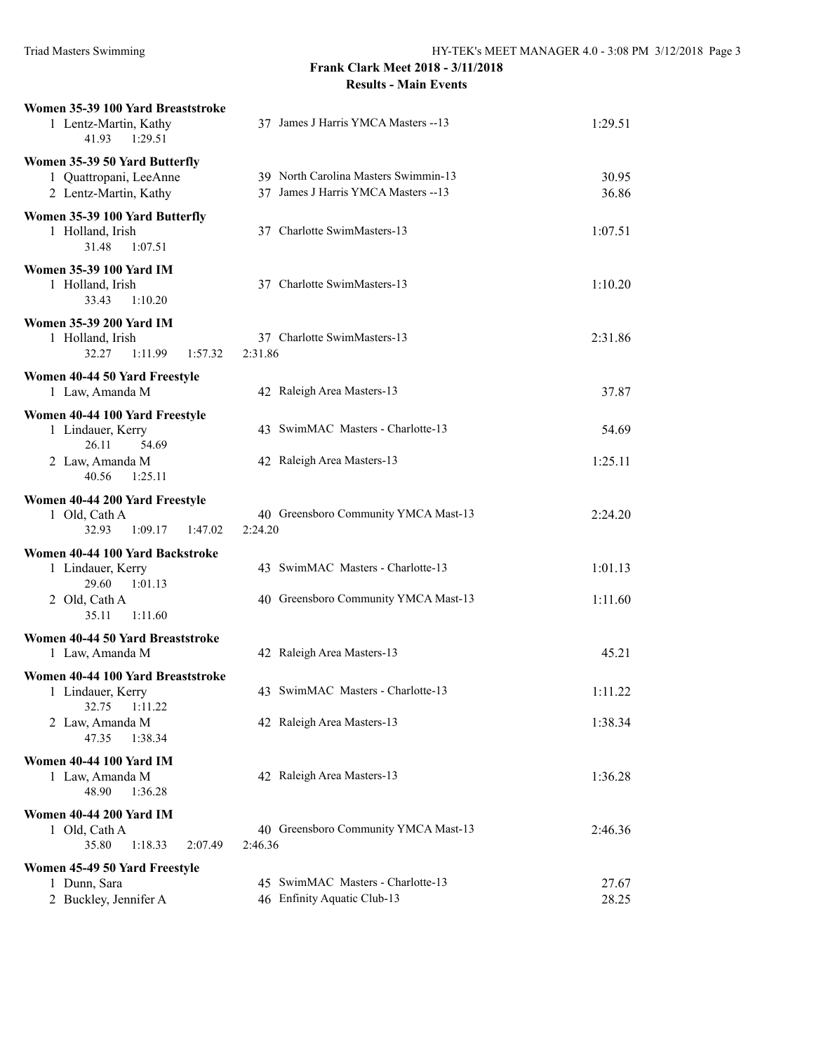| Women 35-39 100 Yard Breaststroke<br>1 Lentz-Martin, Kathy<br>41.93<br>1:29.51    | 37 James J Harris YMCA Masters --13                                          | 1:29.51        |
|-----------------------------------------------------------------------------------|------------------------------------------------------------------------------|----------------|
| Women 35-39 50 Yard Butterfly<br>1 Quattropani, LeeAnne<br>2 Lentz-Martin, Kathy  | 39 North Carolina Masters Swimmin-13<br>37 James J Harris YMCA Masters -- 13 | 30.95<br>36.86 |
| Women 35-39 100 Yard Butterfly<br>1 Holland, Irish<br>31.48<br>1:07.51            | 37 Charlotte SwimMasters-13                                                  | 1:07.51        |
| <b>Women 35-39 100 Yard IM</b><br>1 Holland, Irish<br>33.43<br>1:10.20            | 37 Charlotte SwimMasters-13                                                  | 1:10.20        |
| <b>Women 35-39 200 Yard IM</b><br>1 Holland, Irish<br>32.27<br>1:11.99<br>1:57.32 | 37 Charlotte SwimMasters-13<br>2:31.86                                       | 2:31.86        |
| Women 40-44 50 Yard Freestyle                                                     |                                                                              |                |
| 1 Law, Amanda M                                                                   | 42 Raleigh Area Masters-13                                                   | 37.87          |
| Women 40-44 100 Yard Freestyle<br>1 Lindauer, Kerry<br>26.11<br>54.69             | 43 SwimMAC Masters - Charlotte-13                                            | 54.69          |
| 2 Law, Amanda M<br>40.56<br>1:25.11                                               | 42 Raleigh Area Masters-13                                                   | 1:25.11        |
| Women 40-44 200 Yard Freestyle<br>1 Old, Cath A<br>32.93<br>1:09.17<br>1:47.02    | 40 Greensboro Community YMCA Mast-13<br>2:24.20                              | 2:24.20        |
| Women 40-44 100 Yard Backstroke<br>1 Lindauer, Kerry<br>29.60<br>1:01.13          | 43 SwimMAC Masters - Charlotte-13                                            | 1:01.13        |
| 2 Old, Cath A<br>35.11<br>1:11.60                                                 | 40 Greensboro Community YMCA Mast-13                                         | 1:11.60        |
| Women 40-44 50 Yard Breaststroke<br>1 Law, Amanda M                               | 42 Raleigh Area Masters-13                                                   | 45.21          |
| Women 40-44 100 Yard Breaststroke<br>1 Lindauer, Kerry                            | 43 SwimMAC Masters - Charlotte-13                                            | 1:11.22        |
| 1:11.22<br>32.75<br>2 Law, Amanda M<br>47.35<br>1:38.34                           | 42 Raleigh Area Masters-13                                                   | 1:38.34        |
| <b>Women 40-44 100 Yard IM</b><br>1 Law, Amanda M<br>48.90<br>1:36.28             | 42 Raleigh Area Masters-13                                                   | 1:36.28        |
| <b>Women 40-44 200 Yard IM</b><br>1 Old, Cath A<br>35.80<br>1:18.33<br>2:07.49    | 40 Greensboro Community YMCA Mast-13<br>2:46.36                              | 2:46.36        |
| Women 45-49 50 Yard Freestyle                                                     |                                                                              |                |
| 1 Dunn, Sara<br>2 Buckley, Jennifer A                                             | 45 SwimMAC Masters - Charlotte-13<br>46 Enfinity Aquatic Club-13             | 27.67<br>28.25 |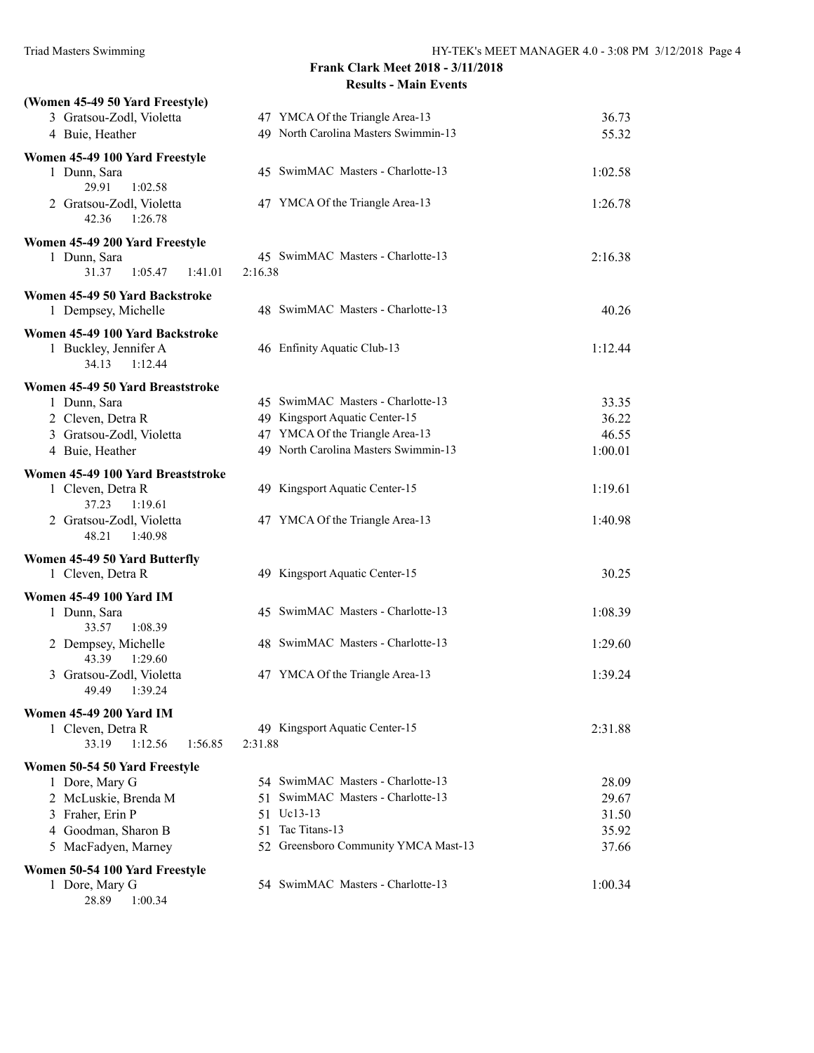| (Women 45-49 50 Yard Freestyle)                          |                                                                   |                |
|----------------------------------------------------------|-------------------------------------------------------------------|----------------|
| 3 Gratsou-Zodl, Violetta                                 | 47 YMCA Of the Triangle Area-13                                   | 36.73          |
| 4 Buie, Heather                                          | 49 North Carolina Masters Swimmin-13                              | 55.32          |
| Women 45-49 100 Yard Freestyle                           |                                                                   |                |
| 1 Dunn, Sara                                             | 45 SwimMAC Masters - Charlotte-13                                 | 1:02.58        |
| 29.91<br>1:02.58                                         |                                                                   |                |
| 2 Gratsou-Zodl, Violetta<br>42.36<br>1:26.78             | 47 YMCA Of the Triangle Area-13                                   | 1:26.78        |
| Women 45-49 200 Yard Freestyle                           |                                                                   |                |
| 1 Dunn, Sara                                             | 45 SwimMAC Masters - Charlotte-13                                 | 2:16.38        |
| 31.37<br>1:05.47<br>1:41.01                              | 2:16.38                                                           |                |
| Women 45-49 50 Yard Backstroke                           |                                                                   |                |
| 1 Dempsey, Michelle                                      | 48 SwimMAC Masters - Charlotte-13                                 | 40.26          |
|                                                          |                                                                   |                |
| Women 45-49 100 Yard Backstroke<br>1 Buckley, Jennifer A | 46 Enfinity Aquatic Club-13                                       | 1:12.44        |
| 34.13<br>1:12.44                                         |                                                                   |                |
|                                                          |                                                                   |                |
| Women 45-49 50 Yard Breaststroke                         |                                                                   |                |
| 1 Dunn, Sara                                             | 45 SwimMAC Masters - Charlotte-13                                 | 33.35          |
| 2 Cleven, Detra R                                        | 49 Kingsport Aquatic Center-15<br>47 YMCA Of the Triangle Area-13 | 36.22<br>46.55 |
| 3 Gratsou-Zodl, Violetta<br>4 Buie, Heather              | 49 North Carolina Masters Swimmin-13                              | 1:00.01        |
|                                                          |                                                                   |                |
| Women 45-49 100 Yard Breaststroke                        |                                                                   |                |
| 1 Cleven, Detra R                                        | 49 Kingsport Aquatic Center-15                                    | 1:19.61        |
| 37.23<br>1:19.61                                         |                                                                   |                |
| 2 Gratsou-Zodl, Violetta<br>48.21<br>1:40.98             | 47 YMCA Of the Triangle Area-13                                   | 1:40.98        |
|                                                          |                                                                   |                |
| Women 45-49 50 Yard Butterfly                            |                                                                   |                |
| 1 Cleven, Detra R                                        | 49 Kingsport Aquatic Center-15                                    | 30.25          |
| <b>Women 45-49 100 Yard IM</b>                           |                                                                   |                |
| 1 Dunn, Sara                                             | 45 SwimMAC Masters - Charlotte-13                                 | 1:08.39        |
| 33.57<br>1:08.39                                         |                                                                   |                |
| 2 Dempsey, Michelle                                      | 48 SwimMAC Masters - Charlotte-13                                 | 1:29.60        |
| 43.39<br>1:29.60                                         |                                                                   |                |
| 3 Gratsou-Zodl, Violetta<br>49.49 1:39.24                | 47 YMCA Of the Triangle Area-13                                   | 1:39.24        |
|                                                          |                                                                   |                |
| <b>Women 45-49 200 Yard IM</b>                           |                                                                   |                |
| 1 Cleven, Detra R<br>33.19<br>1:12.56                    | 49 Kingsport Aquatic Center-15                                    | 2:31.88        |
| 1:56.85                                                  | 2:31.88                                                           |                |
| Women 50-54 50 Yard Freestyle                            |                                                                   |                |
| 1 Dore, Mary G                                           | 54 SwimMAC Masters - Charlotte-13                                 | 28.09          |
| 2 McLuskie, Brenda M                                     | SwimMAC Masters - Charlotte-13<br>51.                             | 29.67          |
| 3 Fraher, Erin P                                         | 51 Uc13-13                                                        | 31.50          |
| 4 Goodman, Sharon B                                      | 51 Tac Titans-13<br>52 Greensboro Community YMCA Mast-13          | 35.92<br>37.66 |
| 5 MacFadyen, Marney                                      |                                                                   |                |
| Women 50-54 100 Yard Freestyle                           |                                                                   |                |
| 1 Dore, Mary G                                           | 54 SwimMAC Masters - Charlotte-13                                 | 1:00.34        |
| 28.89<br>1:00.34                                         |                                                                   |                |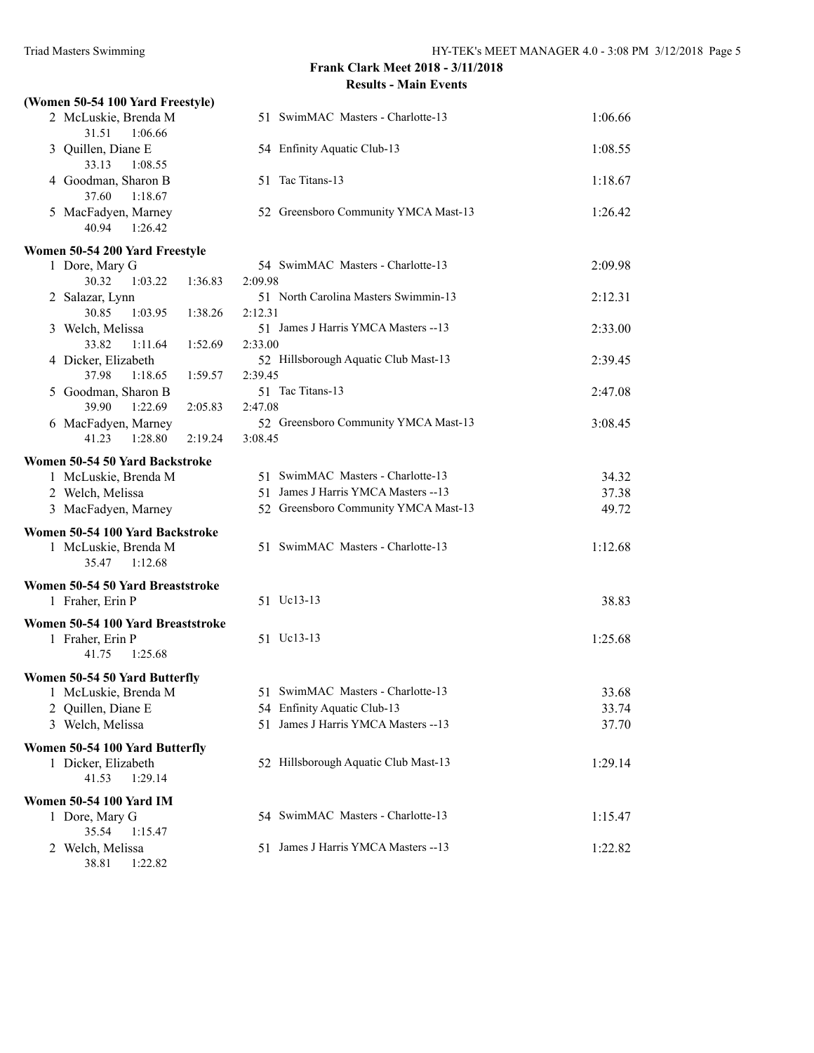| (Women 50-54 100 Yard Freestyle)                   |                                                 |         |
|----------------------------------------------------|-------------------------------------------------|---------|
| 2 McLuskie, Brenda M<br>31.51<br>1:06.66           | 51 SwimMAC Masters - Charlotte-13               | 1:06.66 |
| 3 Quillen, Diane E<br>33.13<br>1:08.55             | 54 Enfinity Aquatic Club-13                     | 1:08.55 |
| 4 Goodman, Sharon B<br>37.60<br>1:18.67            | 51 Tac Titans-13                                | 1:18.67 |
| 5 MacFadyen, Marney<br>40.94<br>1:26.42            | 52 Greensboro Community YMCA Mast-13            | 1:26.42 |
| Women 50-54 200 Yard Freestyle                     |                                                 |         |
| 1 Dore, Mary G                                     | 54 SwimMAC Masters - Charlotte-13               | 2:09.98 |
| 30.32<br>1:03.22<br>1:36.83                        | 2:09.98                                         |         |
| 2 Salazar, Lynn                                    | 51 North Carolina Masters Swimmin-13            | 2:12.31 |
| 30.85<br>1:03.95<br>1:38.26                        | 2:12.31                                         |         |
| 3 Welch, Melissa                                   | 51 James J Harris YMCA Masters -- 13            | 2:33.00 |
| 33.82<br>1:11.64<br>1:52.69                        | 2:33.00                                         |         |
| 4 Dicker, Elizabeth                                | 52 Hillsborough Aquatic Club Mast-13            | 2:39.45 |
| 37.98<br>1:18.65<br>1:59.57                        | 2:39.45                                         |         |
| 5 Goodman, Sharon B                                | 51 Tac Titans-13                                | 2:47.08 |
| 39.90<br>1:22.69<br>2:05.83                        | 2:47.08                                         |         |
| 6 MacFadyen, Marney<br>1:28.80<br>41.23<br>2:19.24 | 52 Greensboro Community YMCA Mast-13<br>3:08.45 | 3:08.45 |
|                                                    |                                                 |         |
| Women 50-54 50 Yard Backstroke                     |                                                 |         |
| 1 McLuskie, Brenda M                               | 51 SwimMAC Masters - Charlotte-13               | 34.32   |
| 2 Welch, Melissa                                   | 51 James J Harris YMCA Masters -- 13            | 37.38   |
| 3 MacFadyen, Marney                                | 52 Greensboro Community YMCA Mast-13            | 49.72   |
| Women 50-54 100 Yard Backstroke                    |                                                 |         |
| 1 McLuskie, Brenda M<br>35.47<br>1:12.68           | 51 SwimMAC Masters - Charlotte-13               | 1:12.68 |
| Women 50-54 50 Yard Breaststroke                   |                                                 |         |
| 1 Fraher, Erin P                                   | 51 Uc13-13                                      | 38.83   |
|                                                    |                                                 |         |
| Women 50-54 100 Yard Breaststroke                  | 51 Uc13-13                                      | 1:25.68 |
| 1 Fraher, Erin P<br>41.75<br>1:25.68               |                                                 |         |
|                                                    |                                                 |         |
| Women 50-54 50 Yard Butterfly                      |                                                 |         |
| 1 McLuskie, Brenda M                               | 51 SwimMAC Masters - Charlotte-13               | 33.68   |
| 2 Quillen, Diane E                                 | 54 Enfinity Aquatic Club-13                     | 33.74   |
| 3 Welch, Melissa                                   | 51 James J Harris YMCA Masters -- 13            | 37.70   |
| Women 50-54 100 Yard Butterfly                     |                                                 |         |
| 1 Dicker, Elizabeth                                | 52 Hillsborough Aquatic Club Mast-13            | 1:29.14 |
| 41.53<br>1:29.14                                   |                                                 |         |
| <b>Women 50-54 100 Yard IM</b>                     |                                                 |         |
| 1 Dore, Mary G                                     | 54 SwimMAC Masters - Charlotte-13               | 1:15.47 |
| 35.54<br>1:15.47                                   |                                                 |         |
| 2 Welch, Melissa                                   | 51 James J Harris YMCA Masters --13             | 1:22.82 |
| 38.81<br>1:22.82                                   |                                                 |         |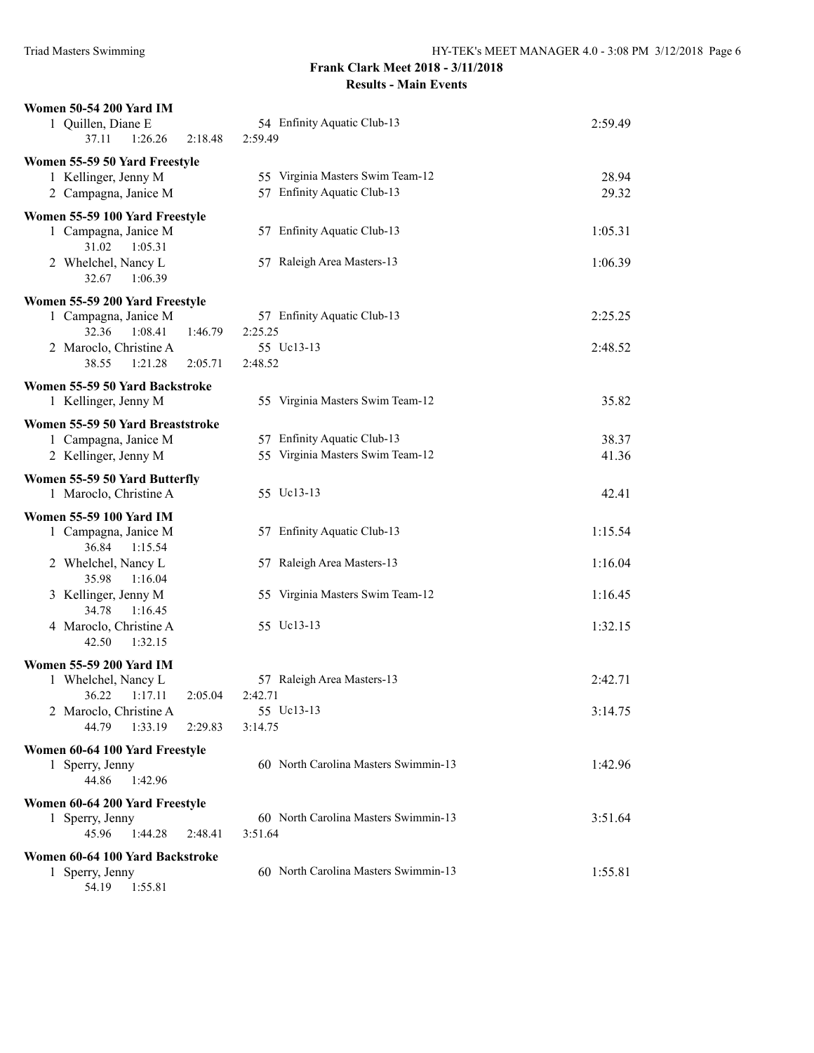| <b>Women 50-54 200 Yard IM</b><br>1 Quillen, Diane E<br>37.11<br>1:26.26<br>2:18.48 | 54 Enfinity Aquatic Club-13<br>2:59.49 | 2:59.49 |
|-------------------------------------------------------------------------------------|----------------------------------------|---------|
| Women 55-59 50 Yard Freestyle                                                       |                                        |         |
| 1 Kellinger, Jenny M                                                                | 55 Virginia Masters Swim Team-12       | 28.94   |
| 2 Campagna, Janice M                                                                | 57 Enfinity Aquatic Club-13            | 29.32   |
| Women 55-59 100 Yard Freestyle                                                      |                                        |         |
| 1 Campagna, Janice M<br>31.02<br>1:05.31                                            | 57 Enfinity Aquatic Club-13            | 1:05.31 |
| 2 Whelchel, Nancy L<br>1:06.39<br>32.67                                             | 57 Raleigh Area Masters-13             | 1:06.39 |
| Women 55-59 200 Yard Freestyle                                                      |                                        |         |
| 1 Campagna, Janice M                                                                | 57 Enfinity Aquatic Club-13            | 2:25.25 |
| 32.36<br>1:08.41<br>1:46.79                                                         | 2:25.25                                |         |
| 2 Maroclo, Christine A                                                              | 55 Uc13-13                             | 2:48.52 |
| 38.55<br>1:21.28<br>2:05.71                                                         | 2:48.52                                |         |
| Women 55-59 50 Yard Backstroke                                                      |                                        |         |
| 1 Kellinger, Jenny M                                                                | 55 Virginia Masters Swim Team-12       | 35.82   |
| Women 55-59 50 Yard Breaststroke                                                    |                                        |         |
| 1 Campagna, Janice M                                                                | 57 Enfinity Aquatic Club-13            | 38.37   |
| 2 Kellinger, Jenny M                                                                | 55 Virginia Masters Swim Team-12       | 41.36   |
| Women 55-59 50 Yard Butterfly                                                       |                                        |         |
| 1 Maroclo, Christine A                                                              | 55 Uc13-13                             | 42.41   |
| <b>Women 55-59 100 Yard IM</b>                                                      |                                        |         |
| 1 Campagna, Janice M                                                                | 57 Enfinity Aquatic Club-13            | 1:15.54 |
| 36.84<br>1:15.54                                                                    |                                        |         |
| 2 Whelchel, Nancy L<br>35.98<br>1:16.04                                             | 57 Raleigh Area Masters-13             | 1:16.04 |
| 3 Kellinger, Jenny M<br>34.78<br>1:16.45                                            | 55 Virginia Masters Swim Team-12       | 1:16.45 |
| 4 Maroclo, Christine A                                                              | 55 Uc13-13                             | 1:32.15 |
| 42.50<br>1:32.15                                                                    |                                        |         |
| <b>Women 55-59 200 Yard IM</b>                                                      |                                        |         |
| 1 Whelchel, Nancy L                                                                 | 57 Raleigh Area Masters-13             | 2:42.71 |
| 36.22 1:17.11                                                                       | 2:05.04 2:42.71                        |         |
| 2 Maroclo, Christine A                                                              | 55 Ue13-13                             | 3:14.75 |
| 44.79<br>1:33.19<br>2:29.83                                                         | 3:14.75                                |         |
| Women 60-64 100 Yard Freestyle                                                      |                                        |         |
| 1 Sperry, Jenny<br>44.86<br>1:42.96                                                 | 60 North Carolina Masters Swimmin-13   | 1:42.96 |
| Women 60-64 200 Yard Freestyle                                                      |                                        |         |
| 1 Sperry, Jenny                                                                     | 60 North Carolina Masters Swimmin-13   | 3:51.64 |
| 45.96<br>1:44.28<br>2:48.41                                                         | 3:51.64                                |         |
| Women 60-64 100 Yard Backstroke                                                     |                                        |         |
| 1 Sperry, Jenny<br>54.19  1:55.81                                                   | 60 North Carolina Masters Swimmin-13   | 1:55.81 |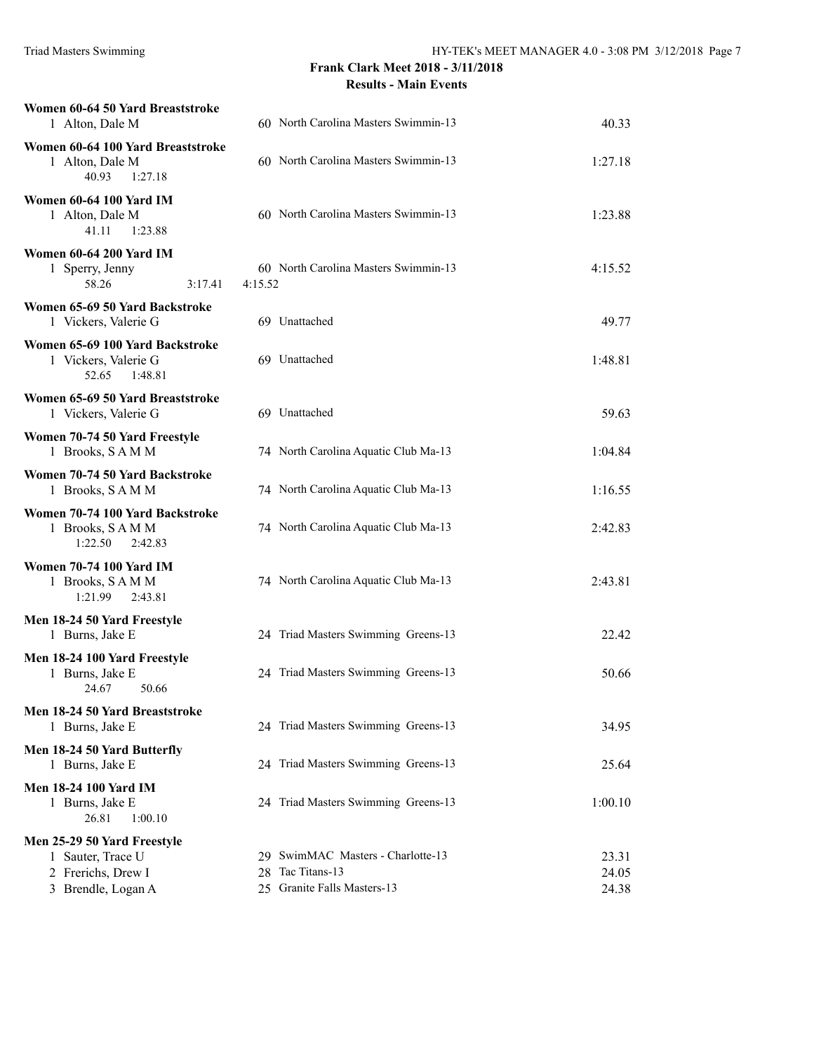| Women 60-64 50 Yard Breaststroke<br>1 Alton, Dale M                                          | 60 North Carolina Masters Swimmin-13                                                 | 40.33                   |
|----------------------------------------------------------------------------------------------|--------------------------------------------------------------------------------------|-------------------------|
| Women 60-64 100 Yard Breaststroke<br>1 Alton, Dale M<br>40.93<br>1:27.18                     | 60 North Carolina Masters Swimmin-13                                                 | 1:27.18                 |
| Women 60-64 100 Yard IM<br>1 Alton, Dale M<br>41.11<br>1:23.88                               | 60 North Carolina Masters Swimmin-13                                                 | 1:23.88                 |
| Women 60-64 200 Yard IM<br>1 Sperry, Jenny<br>58.26<br>3:17.41                               | 60 North Carolina Masters Swimmin-13<br>4:15.52                                      | 4:15.52                 |
| Women 65-69 50 Yard Backstroke<br>1 Vickers, Valerie G                                       | 69 Unattached                                                                        | 49.77                   |
| Women 65-69 100 Yard Backstroke<br>1 Vickers, Valerie G<br>52.65<br>1:48.81                  | 69 Unattached                                                                        | 1:48.81                 |
| Women 65-69 50 Yard Breaststroke<br>1 Vickers, Valerie G                                     | 69 Unattached                                                                        | 59.63                   |
| Women 70-74 50 Yard Freestyle<br>1 Brooks, SAMM                                              | 74 North Carolina Aquatic Club Ma-13                                                 | 1:04.84                 |
| Women 70-74 50 Yard Backstroke<br>1 Brooks, SAMM                                             | 74 North Carolina Aquatic Club Ma-13                                                 | 1:16.55                 |
| Women 70-74 100 Yard Backstroke<br>1 Brooks, SAMM<br>1:22.50<br>2:42.83                      | 74 North Carolina Aquatic Club Ma-13                                                 | 2:42.83                 |
| <b>Women 70-74 100 Yard IM</b><br>1 Brooks, SAMM<br>1:21.99<br>2:43.81                       | 74 North Carolina Aquatic Club Ma-13                                                 | 2:43.81                 |
| Men 18-24 50 Yard Freestyle<br>1 Burns, Jake E                                               | 24 Triad Masters Swimming Greens-13                                                  | 22.42                   |
| Men 18-24 100 Yard Freestyle<br>1 Burns, Jake E<br>24.67<br>50.66                            | 24 Triad Masters Swimming Greens-13                                                  | 50.66                   |
| Men 18-24 50 Yard Breaststroke<br>1 Burns, Jake E                                            | 24 Triad Masters Swimming Greens-13                                                  | 34.95                   |
| Men 18-24 50 Yard Butterfly<br>1 Burns, Jake E                                               | 24 Triad Masters Swimming Greens-13                                                  | 25.64                   |
| <b>Men 18-24 100 Yard IM</b><br>1 Burns, Jake E<br>26.81<br>1:00.10                          | 24 Triad Masters Swimming Greens-13                                                  | 1:00.10                 |
| Men 25-29 50 Yard Freestyle<br>1 Sauter, Trace U<br>2 Frerichs, Drew I<br>3 Brendle, Logan A | 29 SwimMAC Masters - Charlotte-13<br>28 Tac Titans-13<br>25 Granite Falls Masters-13 | 23.31<br>24.05<br>24.38 |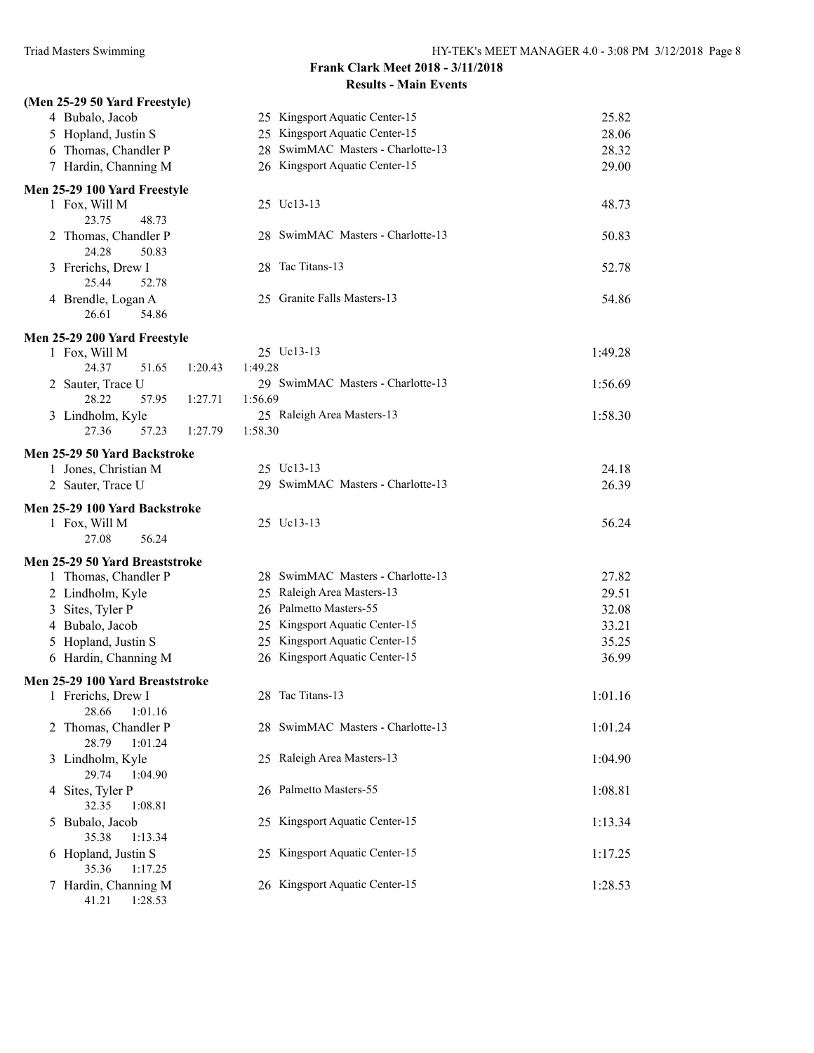# **(Men 25-29 50 Yard Freestyle)** 4 Bubalo, Jacob 25 Kingsport Aquatic Center-15 25.82 5 Hopland, Justin S 25 Kingsport Aquatic Center-15 28.06 6 Thomas, Chandler P 28 SwimMAC Masters - Charlotte-13 28.32 7 Hardin, Channing M 26 Kingsport Aquatic Center-15 29.00 **Men 25-29 100 Yard Freestyle** 1 Fox, Will M 25 Uc13-13 48.73 23.75 48.73 2 Thomas, Chandler P 28 SwimMAC Masters - Charlotte-13 50.83 24.28 50.83 3 Frerichs, Drew I 28 Tac Titans-13 52.78 25.44 52.78 4 Brendle, Logan A 25 Granite Falls Masters-13 54.86 26.61 54.86 **Men 25-29 200 Yard Freestyle** 1 Fox, Will M 25 Uc13-13 1:49.28 24.37 51.65 1:20.43 1:49.28 2 Sauter, Trace U 29 SwimMAC Masters - Charlotte-13 1:56.69 28.22 57.95 1:27.71 1:56.69 3 Lindholm, Kyle 25 Raleigh Area Masters-13 1:58.30 27.36 57.23 1:27.79 1:58.30 **Men 25-29 50 Yard Backstroke** 1 Jones, Christian M 25 Uc13-13 24.18 2 Sauter, Trace U 29 SwimMAC Masters - Charlotte-13 26.39 **Men 25-29 100 Yard Backstroke** 1 Fox, Will M 25 Uc13-13 56.24 27.08 56.24 **Men 25-29 50 Yard Breaststroke** 1 Thomas, Chandler P 28 SwimMAC Masters - Charlotte-13 27.82 2 Lindholm, Kyle 25 Raleigh Area Masters-13 29.51 3 Sites, Tyler P 26 Palmetto Masters-55 32.08 4 Bubalo, Jacob 25 Kingsport Aquatic Center-15 33.21 5 Hopland, Justin S 25 Kingsport Aquatic Center-15 35.25 6 Hardin, Channing M 26 Kingsport Aquatic Center-15 36.99 **Men 25-29 100 Yard Breaststroke** 1 Frerichs, Drew I 28 Tac Titans-13 1:01.16 28.66 1:01.16 2 Thomas, Chandler P 28 SwimMAC Masters - Charlotte-13 1:01.24 28.79 1:01.24 3 Lindholm, Kyle 25 Raleigh Area Masters-13 1:04.90 29.74 1:04.90 4 Sites, Tyler P 26 Palmetto Masters-55 1:08.81 32.35 1:08.81 5 Bubalo, Jacob 25 Kingsport Aquatic Center-15 1:13.34 35.38 1:13.34 6 Hopland, Justin S 25 Kingsport Aquatic Center-15 1:17.25 35.36 1:17.25 7 Hardin, Channing M 26 Kingsport Aquatic Center-15 1:28.53 41.21 1:28.53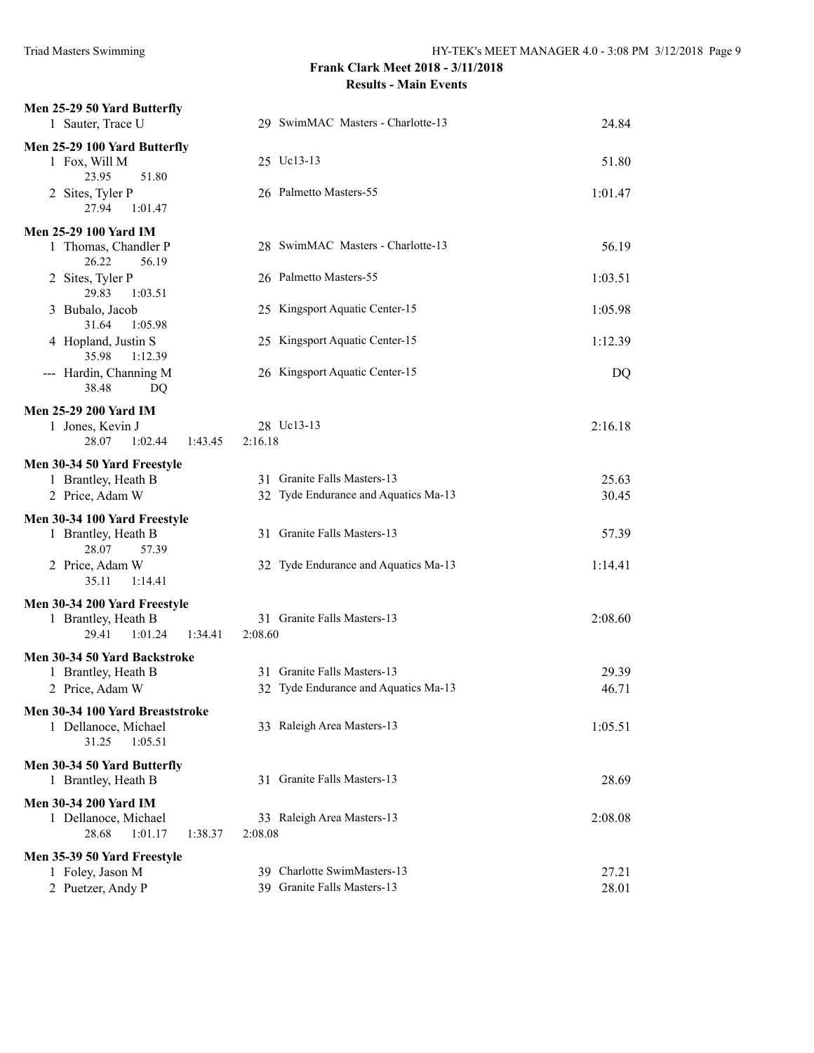| Men 25-29 50 Yard Butterfly<br>1 Sauter, Trace U                                    | 29 SwimMAC Masters - Charlotte-13                                   | 24.84          |
|-------------------------------------------------------------------------------------|---------------------------------------------------------------------|----------------|
| Men 25-29 100 Yard Butterfly<br>1 Fox, Will M                                       | 25 Uc13-13                                                          | 51.80          |
| 23.95<br>51.80<br>2 Sites, Tyler P<br>27.94<br>1:01.47                              | 26 Palmetto Masters-55                                              | 1:01.47        |
| <b>Men 25-29 100 Yard IM</b>                                                        |                                                                     |                |
| 1 Thomas, Chandler P<br>26.22<br>56.19                                              | 28 SwimMAC Masters - Charlotte-13                                   | 56.19          |
| 2 Sites, Tyler P<br>29.83<br>1:03.51                                                | 26 Palmetto Masters-55                                              | 1:03.51        |
| 3 Bubalo, Jacob<br>31.64<br>1:05.98                                                 | 25 Kingsport Aquatic Center-15                                      | 1:05.98        |
| 4 Hopland, Justin S<br>35.98<br>1:12.39                                             | 25 Kingsport Aquatic Center-15                                      | 1:12.39        |
| --- Hardin, Channing M<br>38.48<br>DQ                                               | 26 Kingsport Aquatic Center-15                                      | DQ             |
| <b>Men 25-29 200 Yard IM</b>                                                        |                                                                     |                |
| 1 Jones, Kevin J<br>28.07<br>1:02.44<br>1:43.45                                     | 28 Uc13-13<br>2:16.18                                               | 2:16.18        |
| Men 30-34 50 Yard Freestyle                                                         |                                                                     |                |
| 1 Brantley, Heath B<br>2 Price, Adam W                                              | 31 Granite Falls Masters-13<br>32 Tyde Endurance and Aquatics Ma-13 | 25.63<br>30.45 |
| Men 30-34 100 Yard Freestyle                                                        |                                                                     |                |
| 1 Brantley, Heath B<br>28.07<br>57.39                                               | 31 Granite Falls Masters-13                                         | 57.39          |
| 2 Price, Adam W<br>35.11<br>1:14.41                                                 | 32 Tyde Endurance and Aquatics Ma-13                                | 1:14.41        |
| Men 30-34 200 Yard Freestyle                                                        | 31 Granite Falls Masters-13                                         | 2:08.60        |
| 1 Brantley, Heath B<br>29.41<br>1:01.24<br>1:34.41                                  | 2:08.60                                                             |                |
| Men 30-34 50 Yard Backstroke                                                        |                                                                     |                |
| 1 Brantley, Heath B<br>2 Price, Adam W                                              | 31 Granite Falls Masters-13<br>32 Tyde Endurance and Aquatics Ma-13 | 29.39<br>46.71 |
| Men 30-34 100 Yard Breaststroke                                                     |                                                                     |                |
| 1 Dellanoce, Michael<br>31.25<br>1:05.51                                            | 33 Raleigh Area Masters-13                                          | 1:05.51        |
| Men 30-34 50 Yard Butterfly<br>1 Brantley, Heath B                                  | 31 Granite Falls Masters-13                                         | 28.69          |
| <b>Men 30-34 200 Yard IM</b><br>1 Dellanoce, Michael<br>28.68<br>1:01.17<br>1:38.37 | 33 Raleigh Area Masters-13<br>2:08.08                               | 2:08.08        |
| Men 35-39 50 Yard Freestyle                                                         |                                                                     |                |
| 1 Foley, Jason M<br>2 Puetzer, Andy P                                               | 39 Charlotte SwimMasters-13<br>39 Granite Falls Masters-13          | 27.21<br>28.01 |
|                                                                                     |                                                                     |                |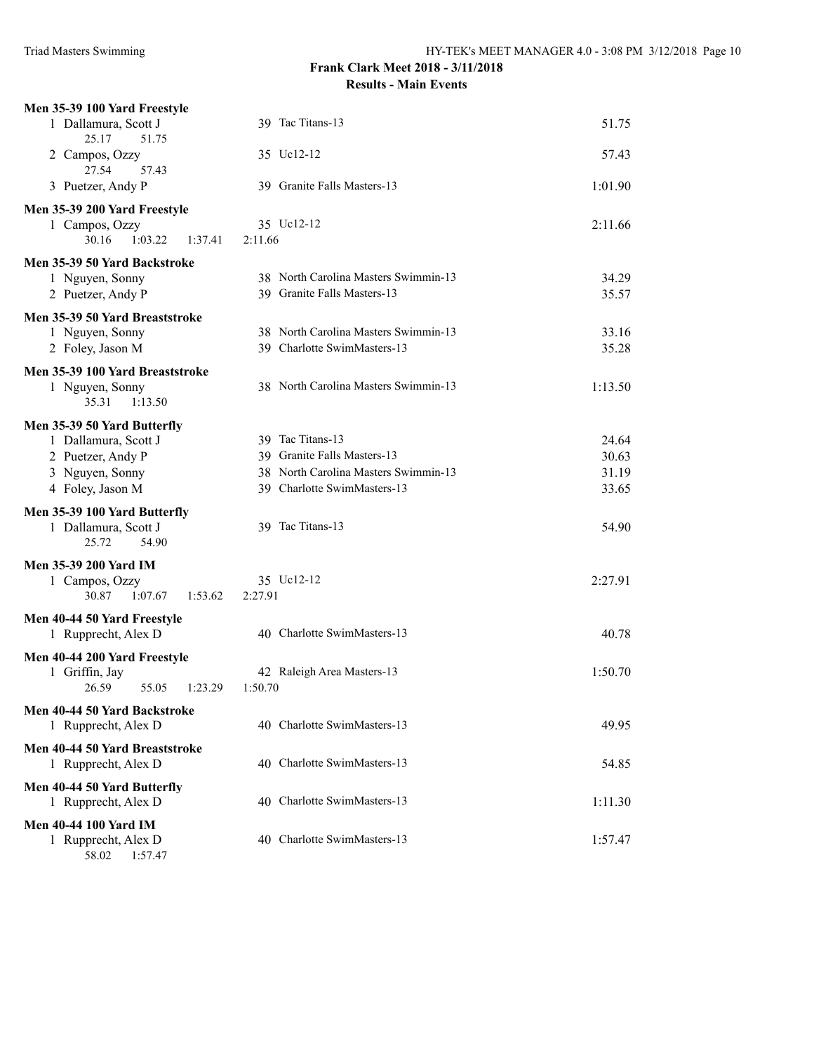| Men 35-39 100 Yard Freestyle                  |                                      |         |
|-----------------------------------------------|--------------------------------------|---------|
| 1 Dallamura, Scott J<br>25.17<br>51.75        | 39 Tac Titans-13                     | 51.75   |
| 2 Campos, Ozzy<br>27.54<br>57.43              | 35 Uc12-12                           | 57.43   |
| 3 Puetzer, Andy P                             | 39 Granite Falls Masters-13          | 1:01.90 |
| Men 35-39 200 Yard Freestyle                  |                                      |         |
| 1 Campos, Ozzy                                | 35 Uc12-12                           | 2:11.66 |
| 30.16<br>1:03.22<br>1:37.41                   | 2:11.66                              |         |
| Men 35-39 50 Yard Backstroke                  |                                      |         |
| 1 Nguyen, Sonny                               | 38 North Carolina Masters Swimmin-13 | 34.29   |
| 2 Puetzer, Andy P                             | 39 Granite Falls Masters-13          | 35.57   |
| Men 35-39 50 Yard Breaststroke                |                                      |         |
| 1 Nguyen, Sonny                               | 38 North Carolina Masters Swimmin-13 | 33.16   |
| 2 Foley, Jason M                              | 39 Charlotte SwimMasters-13          | 35.28   |
| Men 35-39 100 Yard Breaststroke               |                                      |         |
| 1 Nguyen, Sonny                               | 38 North Carolina Masters Swimmin-13 | 1:13.50 |
| 35.31<br>1:13.50                              |                                      |         |
| Men 35-39 50 Yard Butterfly                   |                                      |         |
| 1 Dallamura, Scott J                          | 39 Tac Titans-13                     | 24.64   |
| 2 Puetzer, Andy P                             | 39 Granite Falls Masters-13          | 30.63   |
| 3 Nguyen, Sonny                               | 38 North Carolina Masters Swimmin-13 | 31.19   |
| 4 Foley, Jason M                              | 39 Charlotte SwimMasters-13          | 33.65   |
| Men 35-39 100 Yard Butterfly                  |                                      |         |
| 1 Dallamura, Scott J                          | 39 Tac Titans-13                     | 54.90   |
| 25.72<br>54.90                                |                                      |         |
| <b>Men 35-39 200 Yard IM</b>                  |                                      |         |
| 1 Campos, Ozzy<br>30.87<br>1:07.67<br>1:53.62 | 35 Uc12-12<br>2:27.91                | 2:27.91 |
|                                               |                                      |         |
| Men 40-44 50 Yard Freestyle                   | 40 Charlotte SwimMasters-13          |         |
| 1 Rupprecht, Alex D                           |                                      | 40.78   |
| Men 40-44 200 Yard Freestyle                  |                                      |         |
| 1 Griffin, Jay                                | 42 Raleigh Area Masters-13           | 1:50.70 |
| 26.59<br>55.05<br>1:23.29                     | 1:50.70                              |         |
| Men 40-44 50 Yard Backstroke                  |                                      |         |
| 1 Rupprecht, Alex D                           | 40 Charlotte SwimMasters-13          | 49.95   |
| Men 40-44 50 Yard Breaststroke                |                                      |         |
| 1 Rupprecht, Alex D                           | 40 Charlotte SwimMasters-13          | 54.85   |
| Men 40-44 50 Yard Butterfly                   |                                      |         |
| 1 Rupprecht, Alex D                           | 40 Charlotte SwimMasters-13          | 1:11.30 |
| <b>Men 40-44 100 Yard IM</b>                  |                                      |         |
| 1 Rupprecht, Alex D                           | 40 Charlotte SwimMasters-13          | 1:57.47 |
| 58.02<br>1:57.47                              |                                      |         |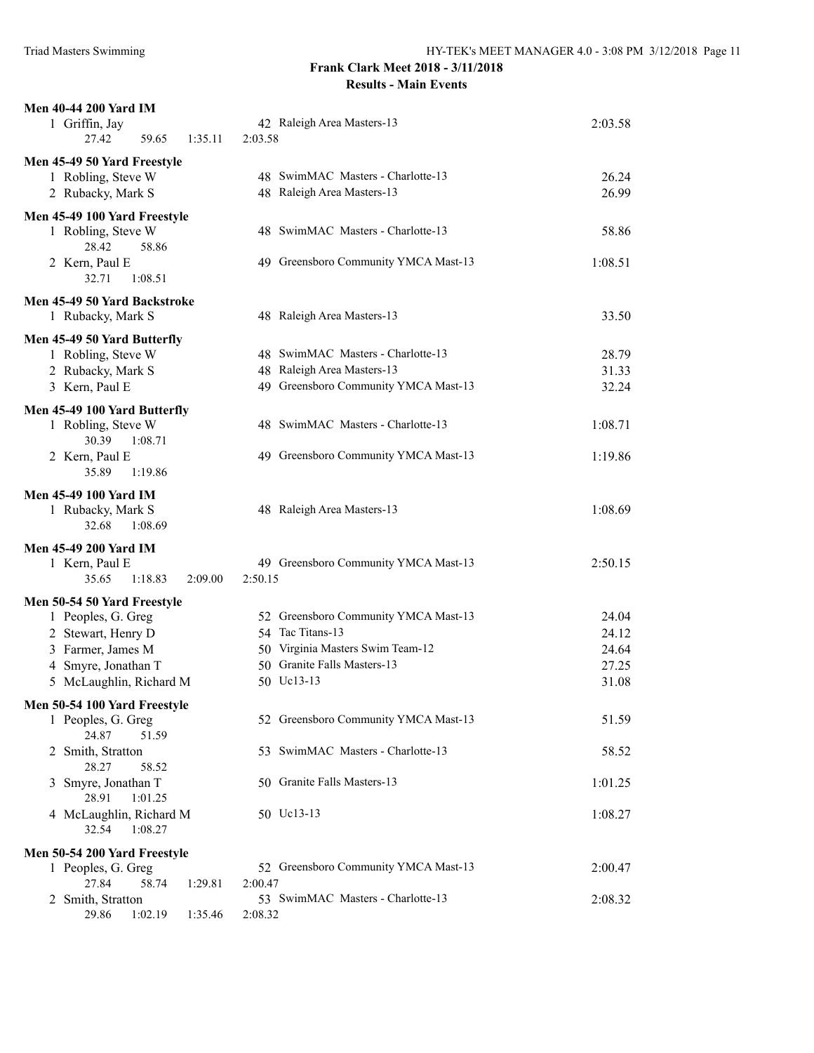| <b>Men 40-44 200 Yard IM</b><br>1 Griffin, Jay<br>27.42<br>59.65<br>1:35.11                                                                    | 42 Raleigh Area Masters-13<br>2:03.58                                                                                                     | 2:03.58                                   |
|------------------------------------------------------------------------------------------------------------------------------------------------|-------------------------------------------------------------------------------------------------------------------------------------------|-------------------------------------------|
| Men 45-49 50 Yard Freestyle<br>1 Robling, Steve W<br>2 Rubacky, Mark S                                                                         | 48 SwimMAC Masters - Charlotte-13<br>48 Raleigh Area Masters-13                                                                           | 26.24<br>26.99                            |
| Men 45-49 100 Yard Freestyle<br>1 Robling, Steve W<br>28.42<br>58.86                                                                           | 48 SwimMAC Masters - Charlotte-13                                                                                                         | 58.86                                     |
| 2 Kern, Paul E<br>32.71<br>1:08.51                                                                                                             | 49 Greensboro Community YMCA Mast-13                                                                                                      | 1:08.51                                   |
| Men 45-49 50 Yard Backstroke<br>1 Rubacky, Mark S                                                                                              | 48 Raleigh Area Masters-13                                                                                                                | 33.50                                     |
| Men 45-49 50 Yard Butterfly<br>1 Robling, Steve W<br>2 Rubacky, Mark S<br>3 Kern, Paul E                                                       | 48 SwimMAC Masters - Charlotte-13<br>48 Raleigh Area Masters-13<br>49 Greensboro Community YMCA Mast-13                                   | 28.79<br>31.33<br>32.24                   |
| Men 45-49 100 Yard Butterfly<br>1 Robling, Steve W<br>30.39<br>1:08.71                                                                         | 48 SwimMAC Masters - Charlotte-13                                                                                                         | 1:08.71                                   |
| 2 Kern, Paul E<br>35.89<br>1:19.86                                                                                                             | 49 Greensboro Community YMCA Mast-13                                                                                                      | 1:19.86                                   |
| Men 45-49 100 Yard IM<br>1 Rubacky, Mark S<br>32.68<br>1:08.69                                                                                 | 48 Raleigh Area Masters-13                                                                                                                | 1:08.69                                   |
| <b>Men 45-49 200 Yard IM</b><br>1 Kern, Paul E<br>35.65<br>1:18.83<br>2:09.00                                                                  | 49 Greensboro Community YMCA Mast-13<br>2:50.15                                                                                           | 2:50.15                                   |
| Men 50-54 50 Yard Freestyle<br>1 Peoples, G. Greg<br>2 Stewart, Henry D<br>3 Farmer, James M<br>4 Smyre, Jonathan T<br>5 McLaughlin, Richard M | 52 Greensboro Community YMCA Mast-13<br>54 Tac Titans-13<br>50 Virginia Masters Swim Team-12<br>50 Granite Falls Masters-13<br>50 Uc13-13 | 24.04<br>24.12<br>24.64<br>27.25<br>31.08 |
| Men 50-54 100 Yard Freestyle<br>1 Peoples, G. Greg<br>24.87<br>51.59                                                                           | 52 Greensboro Community YMCA Mast-13                                                                                                      | 51.59                                     |
| 2 Smith, Stratton<br>28.27<br>58.52                                                                                                            | 53 SwimMAC Masters - Charlotte-13                                                                                                         | 58.52                                     |
| 3 Smyre, Jonathan T<br>28.91<br>1:01.25                                                                                                        | 50 Granite Falls Masters-13                                                                                                               | 1:01.25                                   |
| 4 McLaughlin, Richard M<br>1:08.27<br>32.54                                                                                                    | 50 Uc13-13                                                                                                                                | 1:08.27                                   |
| Men 50-54 200 Yard Freestyle                                                                                                                   |                                                                                                                                           |                                           |
| 1 Peoples, G. Greg<br>27.84<br>58.74<br>1:29.81                                                                                                | 52 Greensboro Community YMCA Mast-13<br>2:00.47                                                                                           | 2:00.47                                   |
| 2 Smith, Stratton<br>29.86<br>1:02.19<br>1:35.46                                                                                               | 53 SwimMAC Masters - Charlotte-13<br>2:08.32                                                                                              | 2:08.32                                   |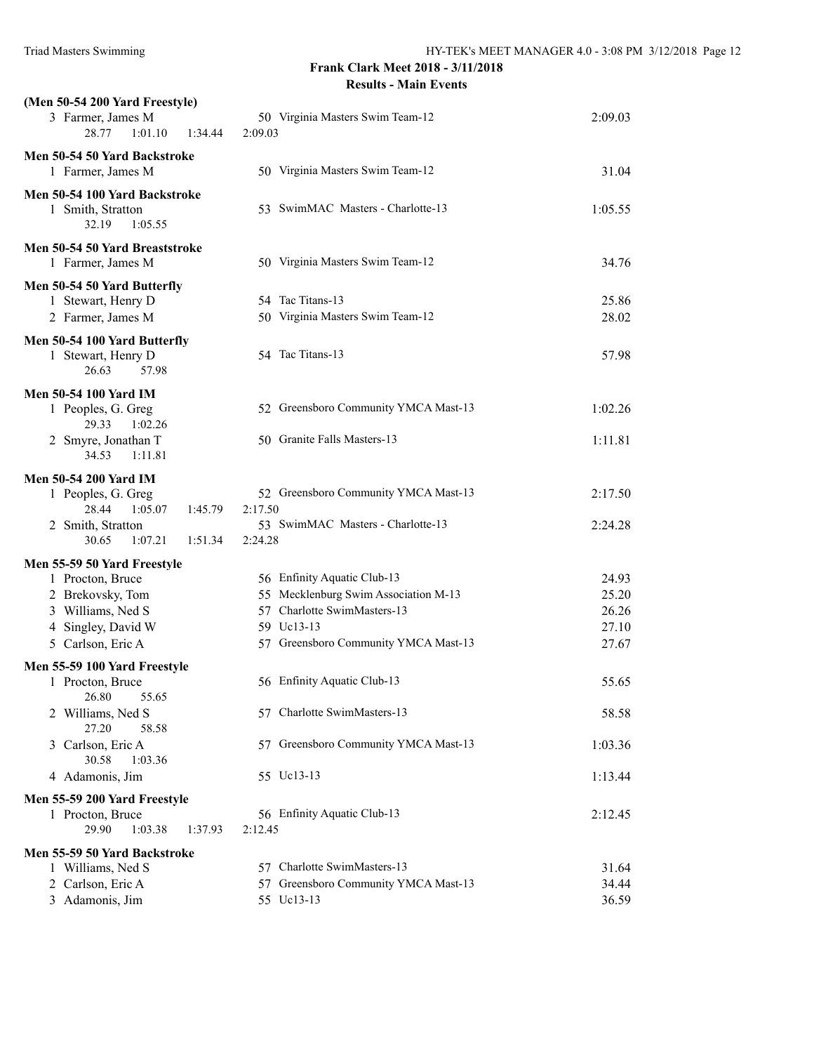| (Men 50-54 200 Yard Freestyle)<br>3 Farmer, James M<br>28.77<br>1:01.10<br>1:34.44                                                  | 50 Virginia Masters Swim Team-12<br>2:09.03                                                                                                              | 2:09.03                                   |
|-------------------------------------------------------------------------------------------------------------------------------------|----------------------------------------------------------------------------------------------------------------------------------------------------------|-------------------------------------------|
| Men 50-54 50 Yard Backstroke<br>1 Farmer, James M                                                                                   | 50 Virginia Masters Swim Team-12                                                                                                                         | 31.04                                     |
| Men 50-54 100 Yard Backstroke<br>1 Smith, Stratton<br>32.19<br>1:05.55                                                              | 53 SwimMAC Masters - Charlotte-13                                                                                                                        | 1:05.55                                   |
| Men 50-54 50 Yard Breaststroke<br>1 Farmer, James M                                                                                 | 50 Virginia Masters Swim Team-12                                                                                                                         | 34.76                                     |
| Men 50-54 50 Yard Butterfly<br>1 Stewart, Henry D<br>2 Farmer, James M                                                              | 54 Tac Titans-13<br>50 Virginia Masters Swim Team-12                                                                                                     | 25.86<br>28.02                            |
| Men 50-54 100 Yard Butterfly<br>1 Stewart, Henry D<br>26.63<br>57.98                                                                | 54 Tac Titans-13                                                                                                                                         | 57.98                                     |
| <b>Men 50-54 100 Yard IM</b><br>1 Peoples, G. Greg<br>1:02.26<br>29.33                                                              | 52 Greensboro Community YMCA Mast-13                                                                                                                     | 1:02.26                                   |
| 2 Smyre, Jonathan T<br>34.53<br>1:11.81                                                                                             | 50 Granite Falls Masters-13                                                                                                                              | 1:11.81                                   |
| <b>Men 50-54 200 Yard IM</b><br>1 Peoples, G. Greg<br>28.44<br>1:05.07<br>1:45.79<br>2 Smith, Stratton                              | 52 Greensboro Community YMCA Mast-13<br>2:17.50<br>53 SwimMAC Masters - Charlotte-13                                                                     | 2:17.50<br>2:24.28                        |
| 30.65<br>1:07.21<br>1:51.34                                                                                                         | 2:24.28                                                                                                                                                  |                                           |
| Men 55-59 50 Yard Freestyle<br>1 Procton, Bruce<br>2 Brekovsky, Tom<br>3 Williams, Ned S<br>4 Singley, David W<br>5 Carlson, Eric A | 56 Enfinity Aquatic Club-13<br>55 Mecklenburg Swim Association M-13<br>57 Charlotte SwimMasters-13<br>59 Uc13-13<br>57 Greensboro Community YMCA Mast-13 | 24.93<br>25.20<br>26.26<br>27.10<br>27.67 |
| Men 55-59 100 Yard Freestyle<br>1 Procton, Bruce                                                                                    | 56 Enfinity Aquatic Club-13                                                                                                                              | 55.65                                     |
| 26.80<br>55.65<br>2 Williams, Ned S<br>27.20<br>58.58                                                                               | 57 Charlotte SwimMasters-13                                                                                                                              | 58.58                                     |
| 3 Carlson, Eric A<br>30.58<br>1:03.36                                                                                               | 57 Greensboro Community YMCA Mast-13                                                                                                                     | 1:03.36                                   |
| 4 Adamonis, Jim                                                                                                                     | 55 Uc13-13                                                                                                                                               | 1:13.44                                   |
| Men 55-59 200 Yard Freestyle<br>1 Procton, Bruce<br>29.90<br>1:03.38<br>1:37.93                                                     | 56 Enfinity Aquatic Club-13<br>2:12.45                                                                                                                   | 2:12.45                                   |
| Men 55-59 50 Yard Backstroke<br>1 Williams, Ned S<br>2 Carlson, Eric A<br>3 Adamonis, Jim                                           | 57 Charlotte SwimMasters-13<br>57 Greensboro Community YMCA Mast-13<br>55 Uc13-13                                                                        | 31.64<br>34.44<br>36.59                   |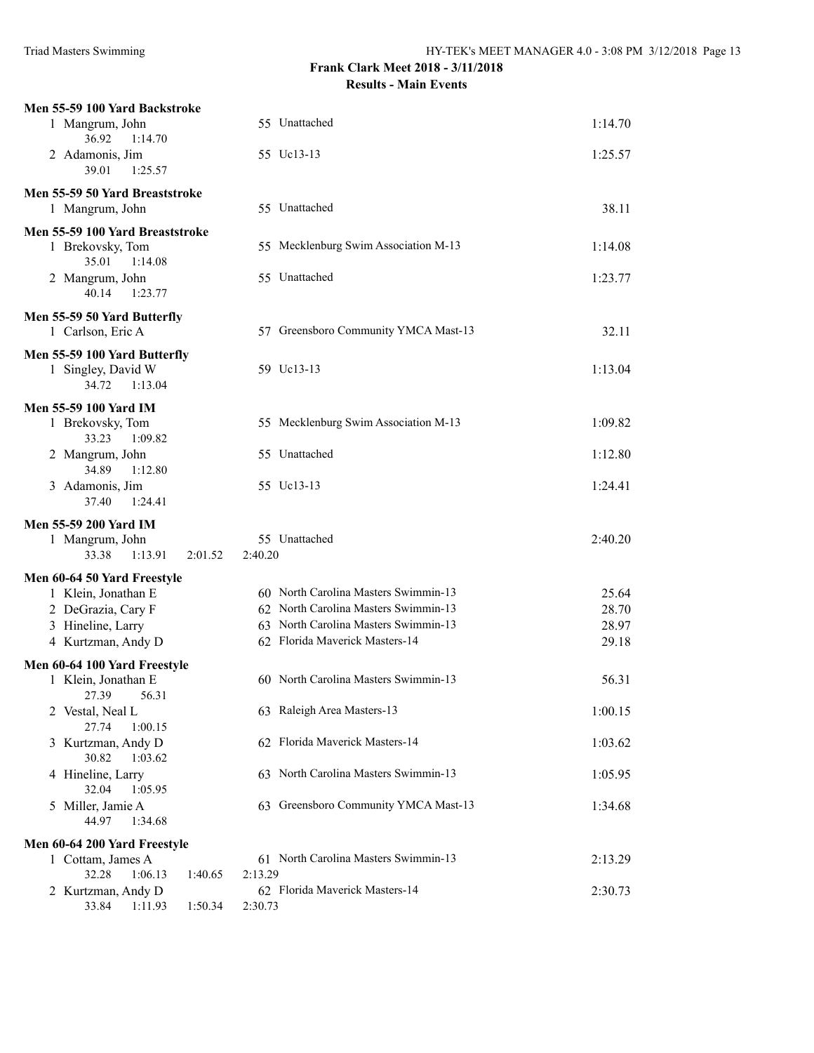| Men 55-59 100 Yard Backstroke                       |                                                                              |                |
|-----------------------------------------------------|------------------------------------------------------------------------------|----------------|
| 1 Mangrum, John                                     | 55 Unattached                                                                | 1:14.70        |
| 36.92<br>1:14.70                                    |                                                                              |                |
| 2 Adamonis, Jim<br>39.01<br>1:25.57                 | 55 Uc13-13                                                                   | 1:25.57        |
|                                                     |                                                                              |                |
| Men 55-59 50 Yard Breaststroke<br>1 Mangrum, John   | 55 Unattached                                                                | 38.11          |
|                                                     |                                                                              |                |
| Men 55-59 100 Yard Breaststroke<br>1 Brekovsky, Tom | 55 Mecklenburg Swim Association M-13                                         | 1:14.08        |
| 35.01<br>1:14.08                                    |                                                                              |                |
| 2 Mangrum, John                                     | 55 Unattached                                                                | 1:23.77        |
| 40.14<br>1:23.77                                    |                                                                              |                |
| Men 55-59 50 Yard Butterfly                         |                                                                              |                |
| 1 Carlson, Eric A                                   | 57 Greensboro Community YMCA Mast-13                                         | 32.11          |
| Men 55-59 100 Yard Butterfly                        |                                                                              |                |
| 1 Singley, David W                                  | 59 Uc13-13                                                                   | 1:13.04        |
| 34.72<br>1:13.04                                    |                                                                              |                |
| Men 55-59 100 Yard IM                               |                                                                              |                |
| 1 Brekovsky, Tom<br>33.23<br>1:09.82                | 55 Mecklenburg Swim Association M-13                                         | 1:09.82        |
| 2 Mangrum, John                                     | 55 Unattached                                                                | 1:12.80        |
| 34.89<br>1:12.80                                    |                                                                              |                |
| 3 Adamonis, Jim                                     | 55 Uc13-13                                                                   | 1:24.41        |
| 37.40<br>1:24.41                                    |                                                                              |                |
| <b>Men 55-59 200 Yard IM</b>                        |                                                                              |                |
| 1 Mangrum, John                                     | 55 Unattached                                                                | 2:40.20        |
| 33.38<br>1:13.91<br>2:01.52                         | 2:40.20                                                                      |                |
| Men 60-64 50 Yard Freestyle                         |                                                                              |                |
| 1 Klein, Jonathan E<br>2 DeGrazia, Cary F           | 60 North Carolina Masters Swimmin-13<br>62 North Carolina Masters Swimmin-13 | 25.64<br>28.70 |
| 3 Hineline, Larry                                   | 63 North Carolina Masters Swimmin-13                                         | 28.97          |
| 4 Kurtzman, Andy D                                  | 62 Florida Maverick Masters-14                                               | 29.18          |
| Men 60-64 100 Yard Freestyle                        |                                                                              |                |
| 1 Klein, Jonathan E                                 | 60 North Carolina Masters Swimmin-13                                         | 56.31          |
| 27.39<br>56.31                                      |                                                                              |                |
| 2 Vestal, Neal L                                    | 63 Raleigh Area Masters-13                                                   | 1:00.15        |
| 27.74<br>1:00.15                                    |                                                                              |                |
| 3 Kurtzman, Andy D<br>30.82<br>1:03.62              | 62 Florida Maverick Masters-14                                               | 1:03.62        |
| 4 Hineline, Larry                                   | 63 North Carolina Masters Swimmin-13                                         | 1:05.95        |
| 32.04<br>1:05.95                                    |                                                                              |                |
| 5 Miller, Jamie A                                   | 63 Greensboro Community YMCA Mast-13                                         | 1:34.68        |
| 44.97<br>1:34.68                                    |                                                                              |                |
| Men 60-64 200 Yard Freestyle                        |                                                                              |                |
| 1 Cottam, James A                                   | 61 North Carolina Masters Swimmin-13                                         | 2:13.29        |
| 32.28<br>1:06.13<br>1:40.65<br>2 Kurtzman, Andy D   | 2:13.29<br>62 Florida Maverick Masters-14                                    | 2:30.73        |
| 33.84<br>1:11.93<br>1:50.34                         | 2:30.73                                                                      |                |
|                                                     |                                                                              |                |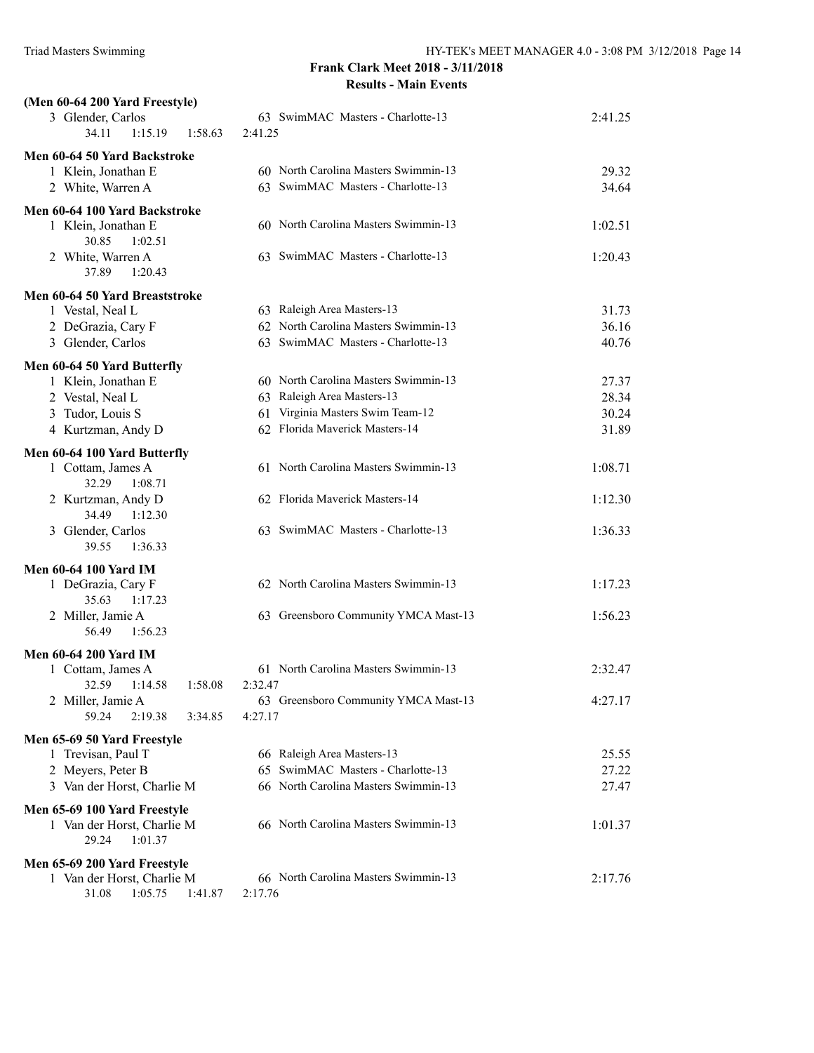| (Men 60-64 200 Yard Freestyle)<br>3 Glender, Carlos        | 63 SwimMAC Masters - Charlotte-13                                  | 2:41.25 |
|------------------------------------------------------------|--------------------------------------------------------------------|---------|
| 34.11<br>1:15.19<br>1:58.63                                | 2:41.25                                                            |         |
| Men 60-64 50 Yard Backstroke                               |                                                                    |         |
| 1 Klein, Jonathan E                                        | 60 North Carolina Masters Swimmin-13                               | 29.32   |
| 2 White, Warren A                                          | 63 SwimMAC Masters - Charlotte-13                                  | 34.64   |
| Men 60-64 100 Yard Backstroke                              |                                                                    |         |
| 1 Klein, Jonathan E                                        | 60 North Carolina Masters Swimmin-13                               | 1:02.51 |
| 30.85<br>1:02.51<br>2 White, Warren A                      | 63 SwimMAC Masters - Charlotte-13                                  | 1:20.43 |
| 37.89<br>1:20.43                                           |                                                                    |         |
| Men 60-64 50 Yard Breaststroke                             |                                                                    |         |
| 1 Vestal, Neal L                                           | 63 Raleigh Area Masters-13                                         | 31.73   |
| 2 DeGrazia, Cary F                                         | 62 North Carolina Masters Swimmin-13                               | 36.16   |
| 3 Glender, Carlos                                          | 63 SwimMAC Masters - Charlotte-13                                  | 40.76   |
| Men 60-64 50 Yard Butterfly                                |                                                                    |         |
| 1 Klein, Jonathan E                                        | 60 North Carolina Masters Swimmin-13                               | 27.37   |
| 2 Vestal, Neal L                                           | 63 Raleigh Area Masters-13                                         | 28.34   |
| 3 Tudor, Louis S                                           | Virginia Masters Swim Team-12<br>61                                | 30.24   |
| 4 Kurtzman, Andy D                                         | 62 Florida Maverick Masters-14                                     | 31.89   |
| Men 60-64 100 Yard Butterfly                               |                                                                    |         |
| 1 Cottam, James A<br>1:08.71<br>32.29                      | 61 North Carolina Masters Swimmin-13                               | 1:08.71 |
| 2 Kurtzman, Andy D                                         | 62 Florida Maverick Masters-14                                     | 1:12.30 |
| 34.49<br>1:12.30                                           |                                                                    |         |
| 3 Glender, Carlos                                          | 63 SwimMAC Masters - Charlotte-13                                  | 1:36.33 |
| 1:36.33<br>39.55                                           |                                                                    |         |
| <b>Men 60-64 100 Yard IM</b>                               |                                                                    |         |
| 1 DeGrazia, Cary F<br>35.63<br>1:17.23                     | 62 North Carolina Masters Swimmin-13                               | 1:17.23 |
| 2 Miller, Jamie A                                          | 63 Greensboro Community YMCA Mast-13                               | 1:56.23 |
| 56.49<br>1:56.23                                           |                                                                    |         |
| <b>Men 60-64 200 Yard IM</b>                               |                                                                    |         |
| 1 Cottam, James A                                          | 61 North Carolina Masters Swimmin-13                               | 2:32.47 |
| 32.59<br>1:58.08<br>1:14.58                                | 2:32.47                                                            |         |
| 2 Miller, Jamie A                                          | 63 Greensboro Community YMCA Mast-13                               | 4:27.17 |
| 59.24<br>2:19.38<br>3:34.85                                | 4:27.17                                                            |         |
| Men 65-69 50 Yard Freestyle                                |                                                                    |         |
| 1 Trevisan, Paul T                                         | 66 Raleigh Area Masters-13<br>SwimMAC Masters - Charlotte-13<br>65 | 25.55   |
| 2 Meyers, Peter B                                          | 66 North Carolina Masters Swimmin-13                               | 27.22   |
| 3 Van der Horst, Charlie M                                 |                                                                    | 27.47   |
| Men 65-69 100 Yard Freestyle                               | 66 North Carolina Masters Swimmin-13                               |         |
| 1 Van der Horst, Charlie M<br>29.24<br>1:01.37             |                                                                    | 1:01.37 |
|                                                            |                                                                    |         |
| Men 65-69 200 Yard Freestyle<br>1 Van der Horst, Charlie M | 66 North Carolina Masters Swimmin-13                               | 2:17.76 |
| 31.08<br>1:05.75<br>1:41.87                                | 2:17.76                                                            |         |
|                                                            |                                                                    |         |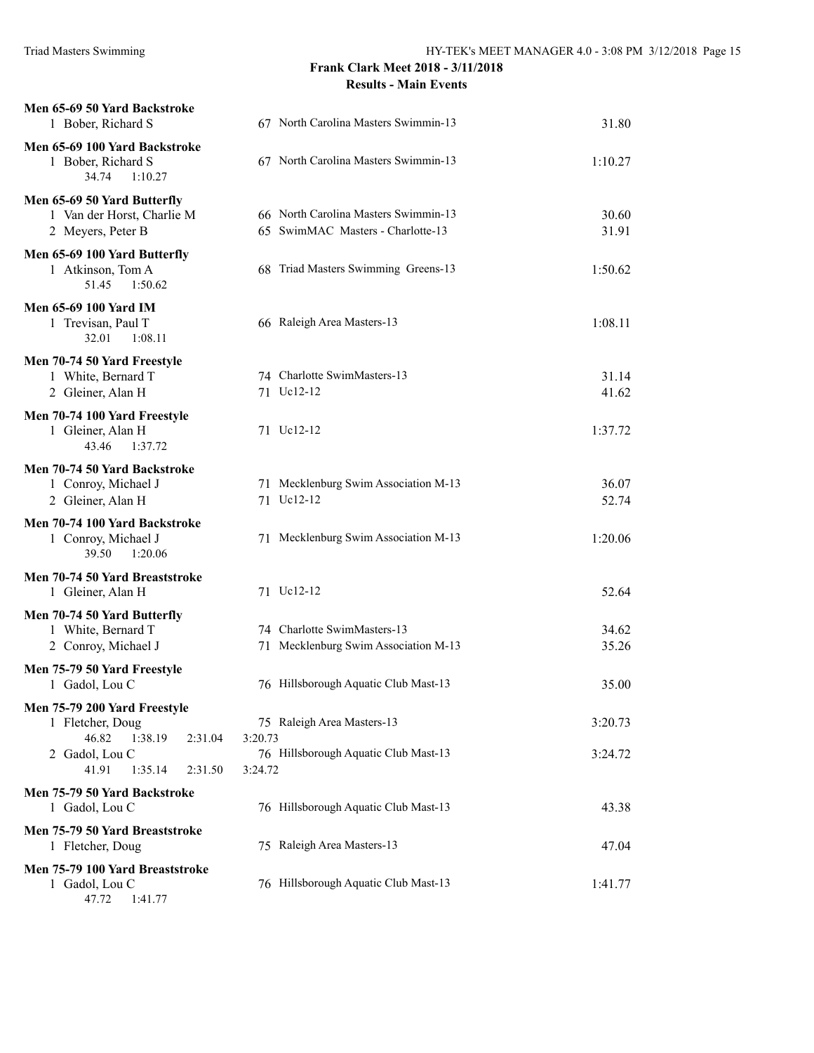| Men 65-69 50 Yard Backstroke<br>1 Bober, Richard S                                                                               | 67 North Carolina Masters Swimmin-13                                                     | 31.80              |
|----------------------------------------------------------------------------------------------------------------------------------|------------------------------------------------------------------------------------------|--------------------|
| Men 65-69 100 Yard Backstroke<br>1 Bober, Richard S<br>34.74<br>1:10.27                                                          | 67 North Carolina Masters Swimmin-13                                                     | 1:10.27            |
| Men 65-69 50 Yard Butterfly<br>1 Van der Horst, Charlie M<br>2 Meyers, Peter B                                                   | 66 North Carolina Masters Swimmin-13<br>65 SwimMAC Masters - Charlotte-13                | 30.60<br>31.91     |
| Men 65-69 100 Yard Butterfly<br>1 Atkinson, Tom A<br>51.45<br>1:50.62                                                            | 68 Triad Masters Swimming Greens-13                                                      | 1:50.62            |
| <b>Men 65-69 100 Yard IM</b><br>1 Trevisan, Paul T<br>32.01<br>1:08.11                                                           | 66 Raleigh Area Masters-13                                                               | 1:08.11            |
| Men 70-74 50 Yard Freestyle<br>1 White, Bernard T<br>2 Gleiner, Alan H<br>Men 70-74 100 Yard Freestyle                           | 74 Charlotte SwimMasters-13<br>71 Uc12-12                                                | 31.14<br>41.62     |
| 1 Gleiner, Alan H<br>1:37.72<br>43.46                                                                                            | 71 Uc12-12                                                                               | 1:37.72            |
| Men 70-74 50 Yard Backstroke<br>1 Conroy, Michael J<br>2 Gleiner, Alan H                                                         | 71 Mecklenburg Swim Association M-13<br>71 Uc12-12                                       | 36.07<br>52.74     |
| Men 70-74 100 Yard Backstroke<br>1 Conroy, Michael J<br>39.50<br>1:20.06                                                         | 71 Mecklenburg Swim Association M-13                                                     | 1:20.06            |
| Men 70-74 50 Yard Breaststroke<br>1 Gleiner, Alan H                                                                              | 71 Uc12-12                                                                               | 52.64              |
| Men 70-74 50 Yard Butterfly<br>1 White, Bernard T<br>2 Conroy, Michael J                                                         | 74 Charlotte SwimMasters-13<br>71 Mecklenburg Swim Association M-13                      | 34.62<br>35.26     |
| Men 75-79 50 Yard Freestyle<br>1 Gadol, Lou C                                                                                    | 76 Hillsborough Aquatic Club Mast-13                                                     | 35.00              |
| Men 75-79 200 Yard Freestyle<br>1 Fletcher, Doug<br>46.82<br>1:38.19<br>2:31.04<br>2 Gadol, Lou C<br>41.91<br>1:35.14<br>2:31.50 | 75 Raleigh Area Masters-13<br>3:20.73<br>76 Hillsborough Aquatic Club Mast-13<br>3:24.72 | 3:20.73<br>3:24.72 |
| Men 75-79 50 Yard Backstroke<br>1 Gadol, Lou C                                                                                   | 76 Hillsborough Aquatic Club Mast-13                                                     | 43.38              |
| Men 75-79 50 Yard Breaststroke<br>1 Fletcher, Doug                                                                               | 75 Raleigh Area Masters-13                                                               | 47.04              |
| Men 75-79 100 Yard Breaststroke<br>1 Gadol, Lou C<br>47.72<br>1:41.77                                                            | 76 Hillsborough Aquatic Club Mast-13                                                     | 1:41.77            |